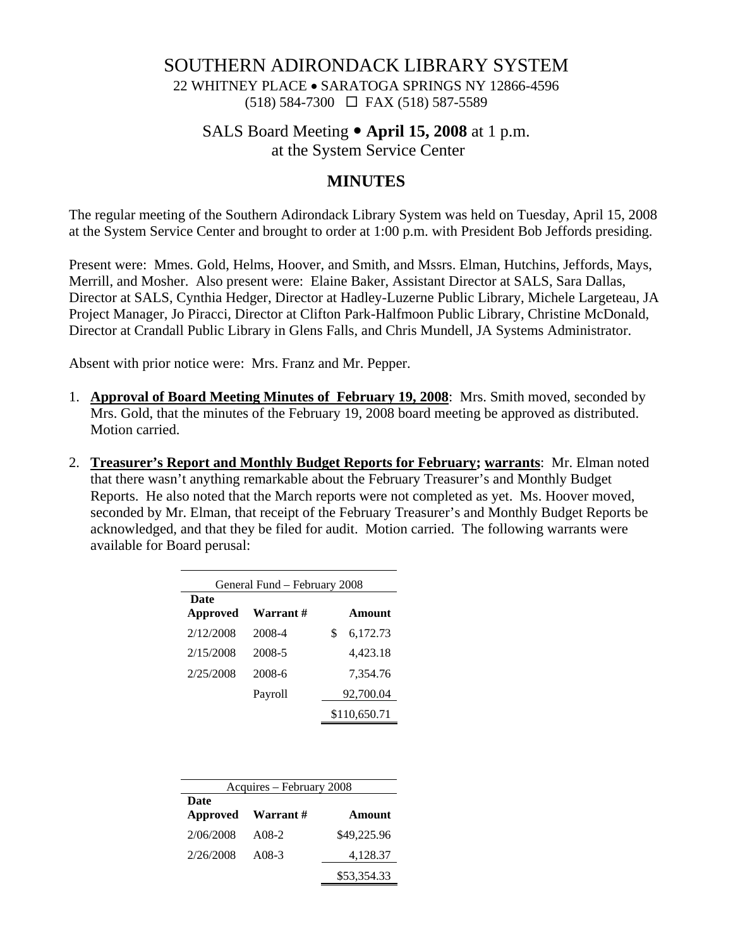#### SOUTHERN ADIRONDACK LIBRARY SYSTEM

22 WHITNEY PLACE • SARATOGA SPRINGS NY 12866-4596 (518) 584-7300 FAX (518) 587-5589

# SALS Board Meeting y **April 15, 2008** at 1 p.m.

at the System Service Center

## **MINUTES**

The regular meeting of the Southern Adirondack Library System was held on Tuesday, April 15, 2008 at the System Service Center and brought to order at 1:00 p.m. with President Bob Jeffords presiding.

Present were: Mmes. Gold, Helms, Hoover, and Smith, and Mssrs. Elman, Hutchins, Jeffords, Mays, Merrill, and Mosher. Also present were: Elaine Baker, Assistant Director at SALS, Sara Dallas, Director at SALS, Cynthia Hedger, Director at Hadley-Luzerne Public Library, Michele Largeteau, JA Project Manager, Jo Piracci, Director at Clifton Park-Halfmoon Public Library, Christine McDonald, Director at Crandall Public Library in Glens Falls, and Chris Mundell, JA Systems Administrator.

Absent with prior notice were: Mrs. Franz and Mr. Pepper.

- 1. **Approval of Board Meeting Minutes of February 19, 2008**: Mrs. Smith moved, seconded by Mrs. Gold, that the minutes of the February 19, 2008 board meeting be approved as distributed. Motion carried.
- 2. **Treasurer's Report and Monthly Budget Reports for February; warrants**: Mr. Elman noted that there wasn't anything remarkable about the February Treasurer's and Monthly Budget Reports. He also noted that the March reports were not completed as yet. Ms. Hoover moved, seconded by Mr. Elman, that receipt of the February Treasurer's and Monthly Budget Reports be acknowledged, and that they be filed for audit. Motion carried. The following warrants were available for Board perusal:

| General Fund – February 2008 |           |    |              |  |
|------------------------------|-----------|----|--------------|--|
| Date<br><b>Approved</b>      | Warrant # |    | Amount       |  |
| 2/12/2008                    | 2008-4    | \$ | 6,172.73     |  |
| 2/15/2008                    | 2008-5    |    | 4,423.18     |  |
| 2/25/2008                    | 2008-6    |    | 7,354.76     |  |
|                              | Payroll   |    | 92,700.04    |  |
|                              |           |    | \$110,650.71 |  |

| Acquires – February 2008 |                   |               |  |  |
|--------------------------|-------------------|---------------|--|--|
| Date                     |                   |               |  |  |
|                          | Approved Warrant# | <b>Amount</b> |  |  |
| 2/06/2008                | A08-2             | \$49,225.96   |  |  |
| 2/26/2008                | $A08-3$           | 4,128.37      |  |  |
|                          |                   | \$53,354.33   |  |  |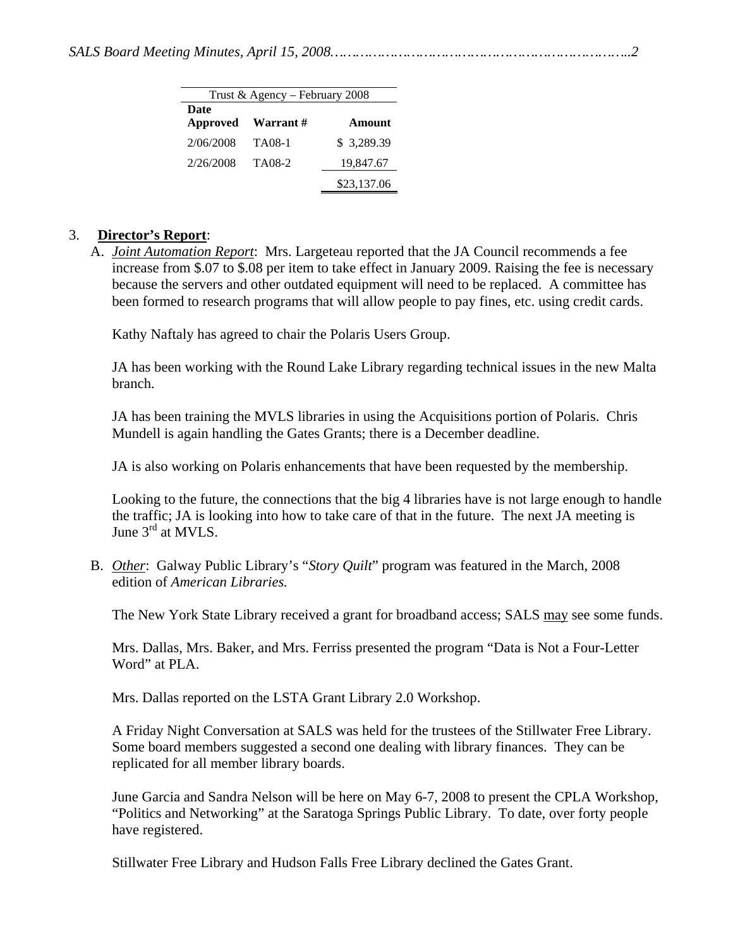| Trust & Agency - February 2008 |          |             |  |  |
|--------------------------------|----------|-------------|--|--|
| Date                           |          |             |  |  |
| Approved                       | Warrant# | Amount      |  |  |
| 2/06/2008                      | TA08-1   | \$3,289.39  |  |  |
| 2/26/2008                      | TA08-2   | 19,847.67   |  |  |
|                                |          | \$23,137.06 |  |  |

#### 3. **Director's Report**:

A. *Joint Automation Report*: Mrs. Largeteau reported that the JA Council recommends a fee increase from \$.07 to \$.08 per item to take effect in January 2009. Raising the fee is necessary because the servers and other outdated equipment will need to be replaced. A committee has been formed to research programs that will allow people to pay fines, etc. using credit cards.

Kathy Naftaly has agreed to chair the Polaris Users Group.

JA has been working with the Round Lake Library regarding technical issues in the new Malta branch.

JA has been training the MVLS libraries in using the Acquisitions portion of Polaris. Chris Mundell is again handling the Gates Grants; there is a December deadline.

JA is also working on Polaris enhancements that have been requested by the membership.

Looking to the future, the connections that the big 4 libraries have is not large enough to handle the traffic; JA is looking into how to take care of that in the future. The next JA meeting is June 3<sup>rd</sup> at MVLS.

B. *Other*: Galway Public Library's "*Story Quilt*" program was featured in the March, 2008 edition of *American Libraries.*

The New York State Library received a grant for broadband access; SALS may see some funds.

Mrs. Dallas, Mrs. Baker, and Mrs. Ferriss presented the program "Data is Not a Four-Letter Word" at PLA.

Mrs. Dallas reported on the LSTA Grant Library 2.0 Workshop.

A Friday Night Conversation at SALS was held for the trustees of the Stillwater Free Library. Some board members suggested a second one dealing with library finances. They can be replicated for all member library boards.

June Garcia and Sandra Nelson will be here on May 6-7, 2008 to present the CPLA Workshop, "Politics and Networking" at the Saratoga Springs Public Library. To date, over forty people have registered.

Stillwater Free Library and Hudson Falls Free Library declined the Gates Grant.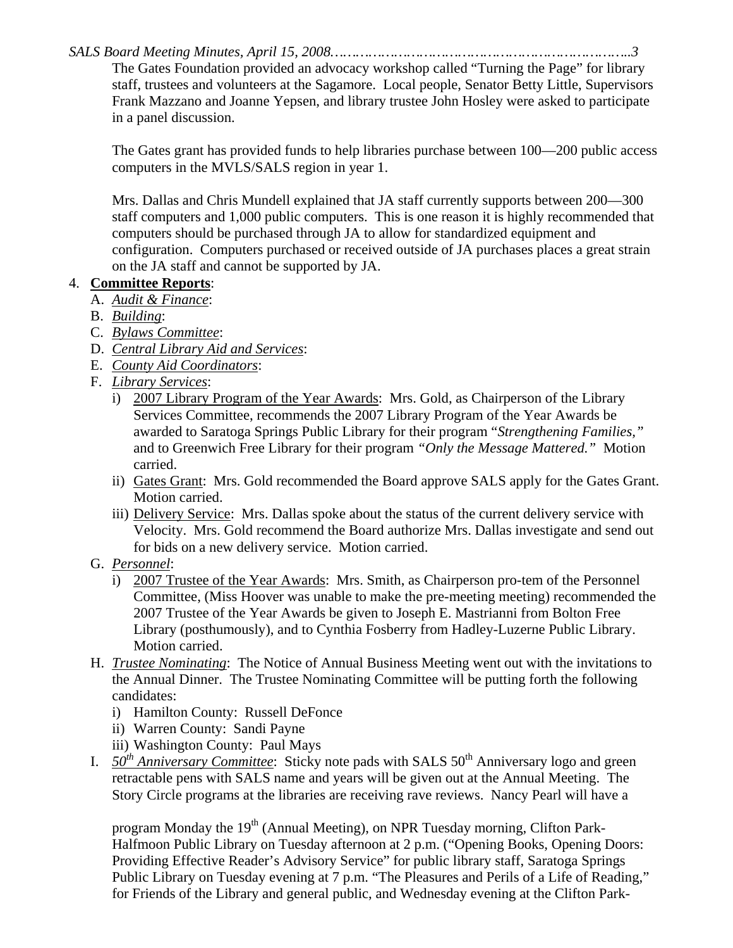*SALS Board Meeting Minutes, April 15, 2008……………………………………………………………..3* 

The Gates Foundation provided an advocacy workshop called "Turning the Page" for library staff, trustees and volunteers at the Sagamore. Local people, Senator Betty Little, Supervisors Frank Mazzano and Joanne Yepsen, and library trustee John Hosley were asked to participate in a panel discussion.

The Gates grant has provided funds to help libraries purchase between 100—200 public access computers in the MVLS/SALS region in year 1.

Mrs. Dallas and Chris Mundell explained that JA staff currently supports between 200—300 staff computers and 1,000 public computers. This is one reason it is highly recommended that computers should be purchased through JA to allow for standardized equipment and configuration. Computers purchased or received outside of JA purchases places a great strain on the JA staff and cannot be supported by JA.

### 4. **Committee Reports**:

- A. *Audit & Finance*:
- B. *Building*:
- C. *Bylaws Committee*:
- D. *Central Library Aid and Services*:
- E. *County Aid Coordinators*:
- F. *Library Services*:
	- i) 2007 Library Program of the Year Awards: Mrs. Gold, as Chairperson of the Library Services Committee, recommends the 2007 Library Program of the Year Awards be awarded to Saratoga Springs Public Library for their program "*Strengthening Families,"*  and to Greenwich Free Library for their program *"Only the Message Mattered."* Motion carried.
	- ii) Gates Grant: Mrs. Gold recommended the Board approve SALS apply for the Gates Grant. Motion carried.
	- iii) Delivery Service: Mrs. Dallas spoke about the status of the current delivery service with Velocity. Mrs. Gold recommend the Board authorize Mrs. Dallas investigate and send out for bids on a new delivery service. Motion carried.
- G. *Personnel*:
	- i) 2007 Trustee of the Year Awards: Mrs. Smith, as Chairperson pro-tem of the Personnel Committee, (Miss Hoover was unable to make the pre-meeting meeting) recommended the 2007 Trustee of the Year Awards be given to Joseph E. Mastrianni from Bolton Free Library (posthumously), and to Cynthia Fosberry from Hadley-Luzerne Public Library. Motion carried.
- H. *Trustee Nominating*: The Notice of Annual Business Meeting went out with the invitations to the Annual Dinner. The Trustee Nominating Committee will be putting forth the following candidates:
	- i) Hamilton County: Russell DeFonce
	- ii) Warren County: Sandi Payne
	- iii) Washington County: Paul Mays
- I. *50<sup>th</sup> Anniversary Committee*: Sticky note pads with SALS 50<sup>th</sup> Anniversary logo and green retractable pens with SALS name and years will be given out at the Annual Meeting. The Story Circle programs at the libraries are receiving rave reviews. Nancy Pearl will have a

program Monday the  $19<sup>th</sup>$  (Annual Meeting), on NPR Tuesday morning, Clifton Park-Halfmoon Public Library on Tuesday afternoon at 2 p.m. ("Opening Books, Opening Doors: Providing Effective Reader's Advisory Service" for public library staff, Saratoga Springs Public Library on Tuesday evening at 7 p.m. "The Pleasures and Perils of a Life of Reading," for Friends of the Library and general public, and Wednesday evening at the Clifton Park